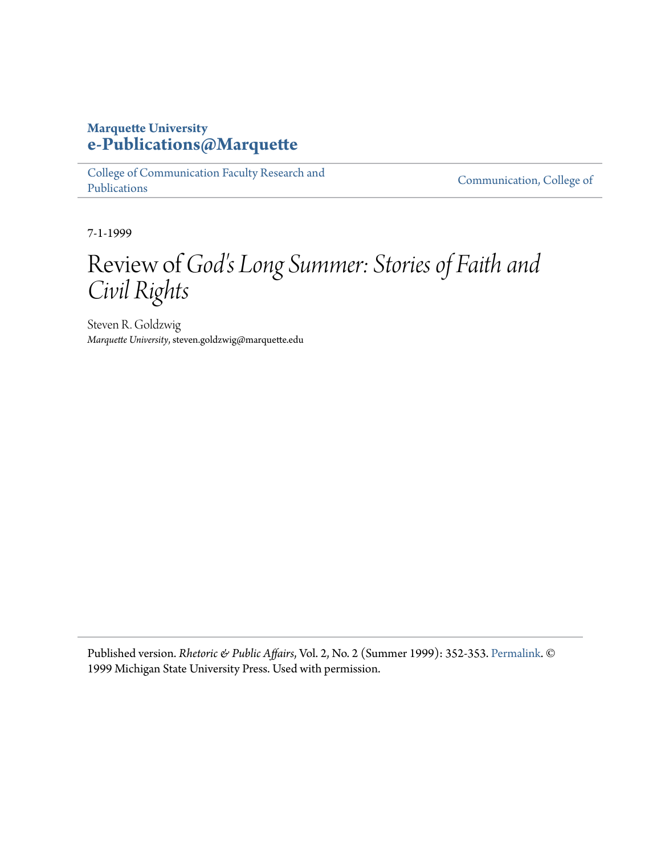## **Marquette University [e-Publications@Marquette](https://epublications.marquette.edu)**

[College of Communication Faculty Research and](https://epublications.marquette.edu/comm_fac) [Publications](https://epublications.marquette.edu/comm_fac)

[Communication, College of](https://epublications.marquette.edu/communication)

7-1-1999

## Review of *God's Long Summer: Stories of Faith and Civil Rights*

Steven R. Goldzwig *Marquette University*, steven.goldzwig@marquette.edu

Published version. *Rhetoric & Public Affairs*, Vol. 2, No. 2 (Summer 1999): 352-353. [Permalink.](http://msupress.org/journals/issue/?id=50-21D-57E) © 1999 Michigan State University Press. Used with permission.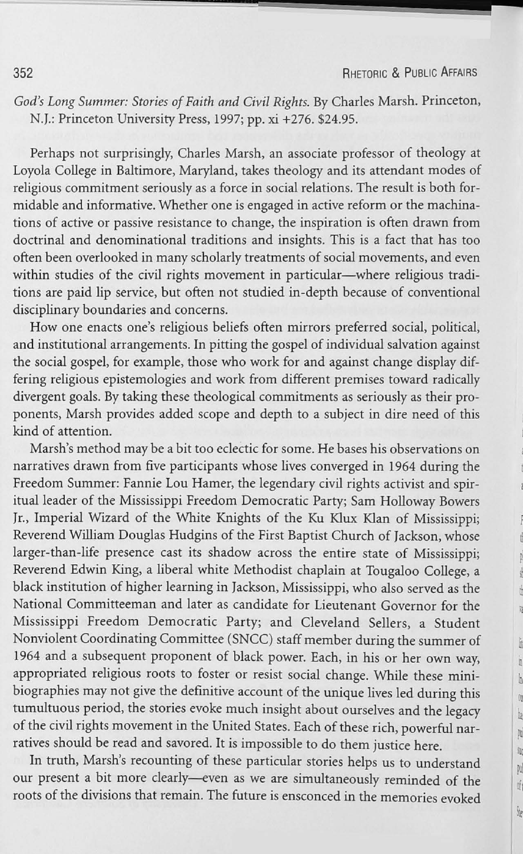*God's Long Summer: Stories of Faith and Civil Rights.* By Charles Marsh. Princeton, N.J.: Princeton University Press, 1997; pp. xi +276. \$24.95.

Perhaps not surprisingly, Charles Marsh, an associate professor of theology at Loyola College in Baltimore, Maryland, takes theology and its attendant modes of religious commitment seriously as a force in social relations. The result is both formidable and informative. Whether one is engaged in active reform or the machinations of active or passive resistance to change, the inspiration is often drawn from doctrinal and denominational traditions and insights. This is a fact that has too often been overlooked in many scholarly treatments of social movements, and even within studies of the civil rights movement in particular-where religious traditions are paid lip service, but often not studied in-depth because of conventional disciplinary boundaries and concerns.

How one enacts one's religious beliefs often mirrors preferred social, political, and institutional arrangements. In pitting the gospel of individual salvation against the social gospel, for example, those who work for and against change display differing religious epistemologies and work from different premises toward radically divergent goals. By taking these theological commitments as seriously as their proponents, Marsh provides added scope and depth to a subject in dire need of this kind of attention.

Marsh's method may be a bit too eclectic for some. He bases his observations on narratives drawn from five participants whose lives converged in 1964 during the Freedom Summer: Fannie Lou Hamer, the legendary civil rights activist and spiritual leader of the Mississippi Freedom Democratic Party; Sam Holloway Bowers Jr., Imperial Wizard of the White Knights of the Ku Klux Klan of Mississippi; Reverend William Douglas Hudgins of the First Baptist Church of Jackson, whose larger-than-life presence cast its shadow across the entire state of Mississippi; Reverend Edwin King, a liberal white Methodist chaplain at Tougaloo College, a black institution of higher learning in Jackson, Mississippi, who also served as the National Committeeman and later as candidate for Lieutenant Governor for the Mississippi Freedom Democratic Party; and Cleveland Sellers, a Student Nonviolent Coordinating Committee (SNCC) staff member during the summer of 1964 and a subsequent proponent of black power. Each, in his or her own way, appropriated religious roots to foster or resist social change. While these minibiographies may not give the defmitive account of the unique lives led during this tumultuous period, the stories evoke much insight about ourselves and the legacy of the civil rights movement in the United States. Each of these rich, powerful narratives should be read and savored. It is impossible to do them *justice* here.

In truth, Marsh's recounting of these particular stories helps us to understand our present a bit more clearly-even as we are simultaneously reminded of the roots of the divisions that remain. The future is ensconced in the memories evoked